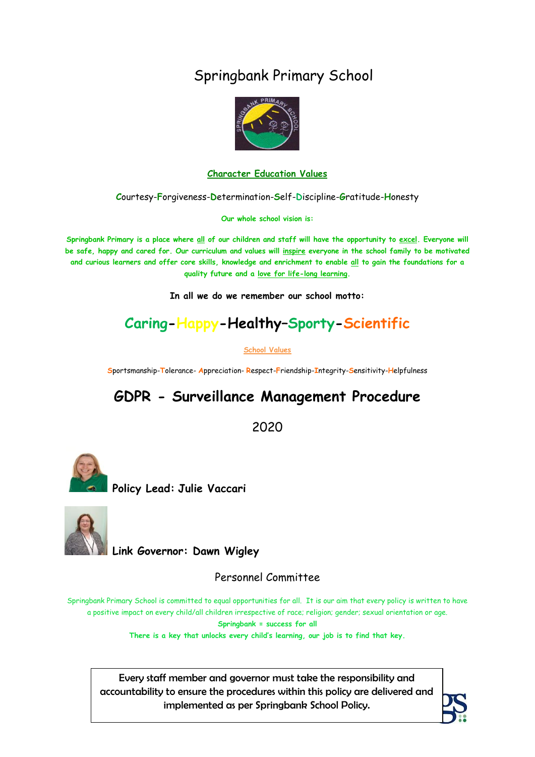# Springbank Primary School



#### **Character Education Values**

**C**ourtesy-**F**orgiveness-**D**etermination-**S**elf-**D**iscipline-**G**ratitude-**H**onesty

**Our whole school vision is:**

**Springbank Primary is a place where all of our children and staff will have the opportunity to excel. Everyone will be safe, happy and cared for. Our curriculum and values will inspire everyone in the school family to be motivated and curious learners and offer core skills, knowledge and enrichment to enable all to gain the foundations for a quality future and a love for life-long learning.**

**In all we do we remember our school motto:**

# **Caring-Happy-Healthy–Sporty-Scientific**

**School Values**

**S**portsmanship-**T**olerance- **A**ppreciation- **R**espect-**F**riendship-**I**ntegrity-**S**ensitivity-**H**elpfulness

# **GDPR - Surveillance Management Procedure**

2020



**Policy Lead: Julie Vaccari** 



**Link Governor: Dawn Wigley**

Personnel Committee

Springbank Primary School is committed to equal opportunities for all. It is our aim that every policy is written to have a positive impact on every child/all children irrespective of race; religion; gender; sexual orientation or age. **Springbank = success for all**

**There is a key that unlocks every child's learning, our job is to find that key.**

Every staff member and governor must take the responsibility and accountability to ensure the procedures within this policy are delivered and implemented as per Springbank School Policy.

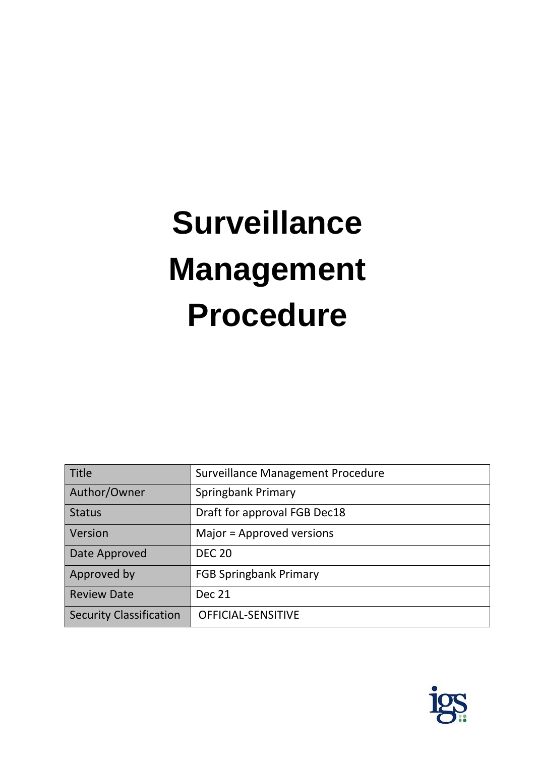# **Surveillance Management Procedure**

| Title                          | Surveillance Management Procedure |
|--------------------------------|-----------------------------------|
| Author/Owner                   | Springbank Primary                |
| <b>Status</b>                  | Draft for approval FGB Dec18      |
| Version                        | Major = Approved versions         |
| Date Approved                  | <b>DEC 20</b>                     |
| Approved by                    | <b>FGB Springbank Primary</b>     |
| <b>Review Date</b>             | <b>Dec 21</b>                     |
| <b>Security Classification</b> | OFFICIAL-SENSITIVE                |

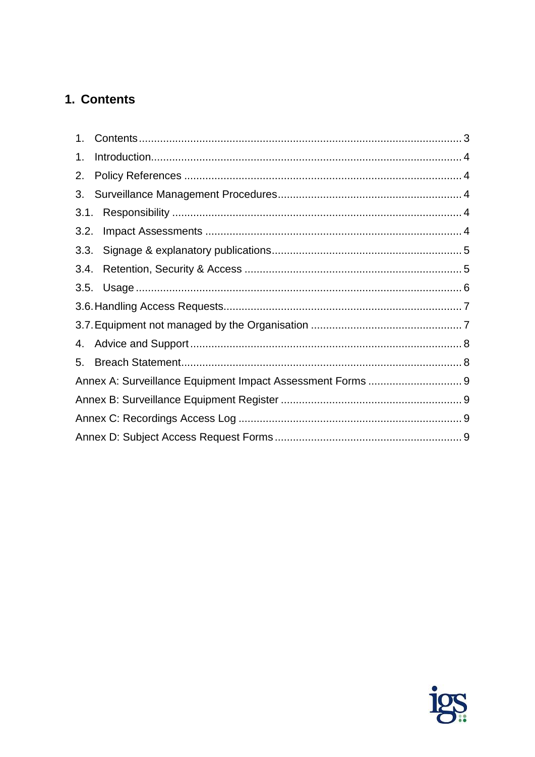# <span id="page-2-0"></span>1. Contents

| 1. |  |
|----|--|
| 2. |  |
| 3. |  |
|    |  |
|    |  |
|    |  |
|    |  |
|    |  |
|    |  |
|    |  |
|    |  |
| 5. |  |
|    |  |
|    |  |
|    |  |
|    |  |

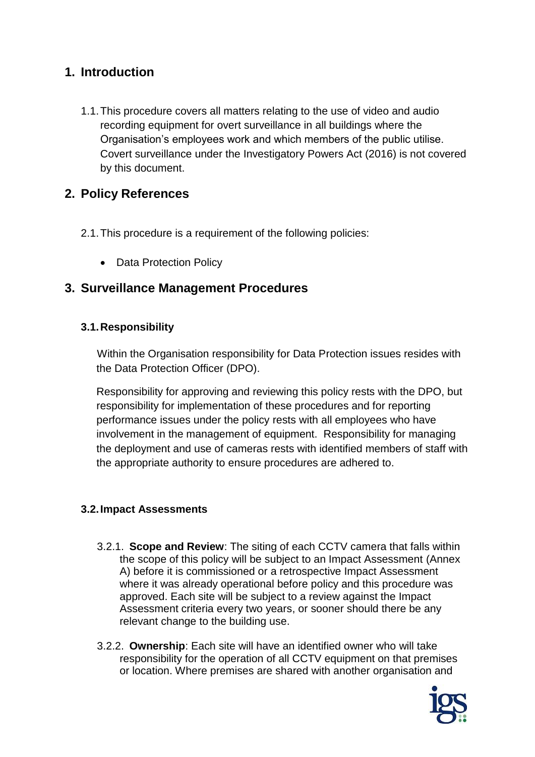# <span id="page-3-0"></span>**1. Introduction**

1.1.This procedure covers all matters relating to the use of video and audio recording equipment for overt surveillance in all buildings where the Organisation's employees work and which members of the public utilise. Covert surveillance under the Investigatory Powers Act (2016) is not covered by this document.

# <span id="page-3-1"></span>**2. Policy References**

- 2.1.This procedure is a requirement of the following policies:
	- Data Protection Policy

# <span id="page-3-2"></span>**3. Surveillance Management Procedures**

#### <span id="page-3-3"></span>**3.1.Responsibility**

Within the Organisation responsibility for Data Protection issues resides with the Data Protection Officer (DPO).

Responsibility for approving and reviewing this policy rests with the DPO, but responsibility for implementation of these procedures and for reporting performance issues under the policy rests with all employees who have involvement in the management of equipment. Responsibility for managing the deployment and use of cameras rests with identified members of staff with the appropriate authority to ensure procedures are adhered to.

#### <span id="page-3-4"></span>**3.2.Impact Assessments**

- 3.2.1. **Scope and Review**: The siting of each CCTV camera that falls within the scope of this policy will be subject to an Impact Assessment (Annex A) before it is commissioned or a retrospective Impact Assessment where it was already operational before policy and this procedure was approved. Each site will be subject to a review against the Impact Assessment criteria every two years, or sooner should there be any relevant change to the building use.
- 3.2.2. **Ownership**: Each site will have an identified owner who will take responsibility for the operation of all CCTV equipment on that premises or location. Where premises are shared with another organisation and

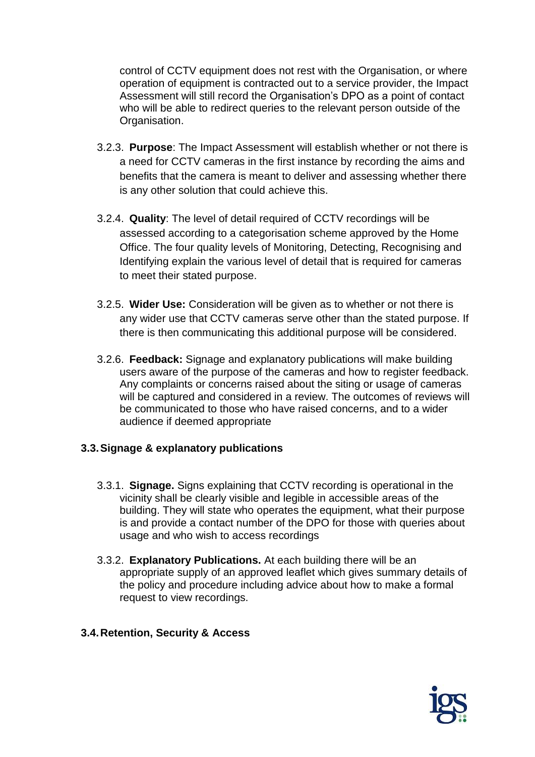control of CCTV equipment does not rest with the Organisation, or where operation of equipment is contracted out to a service provider, the Impact Assessment will still record the Organisation's DPO as a point of contact who will be able to redirect queries to the relevant person outside of the Organisation.

- 3.2.3. **Purpose**: The Impact Assessment will establish whether or not there is a need for CCTV cameras in the first instance by recording the aims and benefits that the camera is meant to deliver and assessing whether there is any other solution that could achieve this.
- 3.2.4. **Quality**: The level of detail required of CCTV recordings will be assessed according to a categorisation scheme approved by the Home Office. The four quality levels of Monitoring, Detecting, Recognising and Identifying explain the various level of detail that is required for cameras to meet their stated purpose.
- 3.2.5. **Wider Use:** Consideration will be given as to whether or not there is any wider use that CCTV cameras serve other than the stated purpose. If there is then communicating this additional purpose will be considered.
- 3.2.6. **Feedback:** Signage and explanatory publications will make building users aware of the purpose of the cameras and how to register feedback. Any complaints or concerns raised about the siting or usage of cameras will be captured and considered in a review. The outcomes of reviews will be communicated to those who have raised concerns, and to a wider audience if deemed appropriate

#### <span id="page-4-0"></span>**3.3.Signage & explanatory publications**

- 3.3.1. **Signage.** Signs explaining that CCTV recording is operational in the vicinity shall be clearly visible and legible in accessible areas of the building. They will state who operates the equipment, what their purpose is and provide a contact number of the DPO for those with queries about usage and who wish to access recordings
- 3.3.2. **Explanatory Publications.** At each building there will be an appropriate supply of an approved leaflet which gives summary details of the policy and procedure including advice about how to make a formal request to view recordings.

#### <span id="page-4-1"></span>**3.4.Retention, Security & Access**

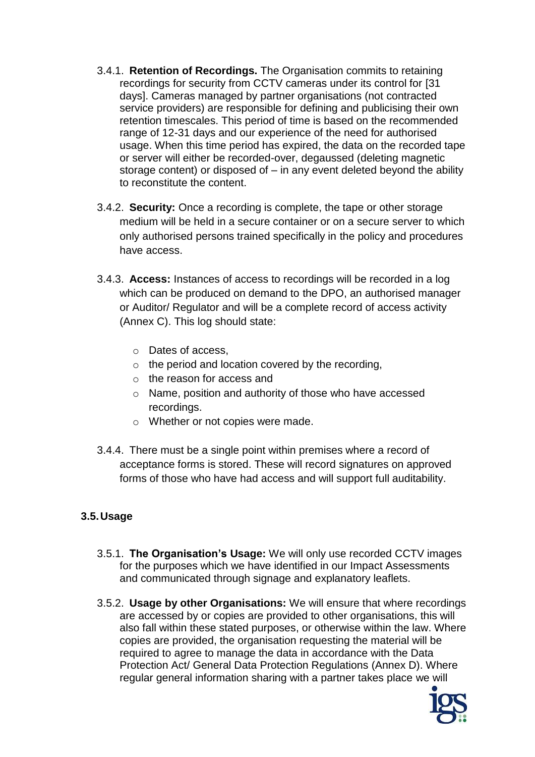- 3.4.1. **Retention of Recordings.** The Organisation commits to retaining recordings for security from CCTV cameras under its control for [31 days]. Cameras managed by partner organisations (not contracted service providers) are responsible for defining and publicising their own retention timescales. This period of time is based on the recommended range of 12-31 days and our experience of the need for authorised usage. When this time period has expired, the data on the recorded tape or server will either be recorded-over, degaussed (deleting magnetic storage content) or disposed of  $-$  in any event deleted beyond the ability to reconstitute the content.
- 3.4.2. **Security:** Once a recording is complete, the tape or other storage medium will be held in a secure container or on a secure server to which only authorised persons trained specifically in the policy and procedures have access.
- 3.4.3. **Access:** Instances of access to recordings will be recorded in a log which can be produced on demand to the DPO, an authorised manager or Auditor/ Regulator and will be a complete record of access activity (Annex C). This log should state:
	- o Dates of access,
	- $\circ$  the period and location covered by the recording,
	- o the reason for access and
	- o Name, position and authority of those who have accessed recordings.
	- o Whether or not copies were made.
- 3.4.4. There must be a single point within premises where a record of acceptance forms is stored. These will record signatures on approved forms of those who have had access and will support full auditability.

#### <span id="page-5-0"></span>**3.5.Usage**

- 3.5.1. **The Organisation's Usage:** We will only use recorded CCTV images for the purposes which we have identified in our Impact Assessments and communicated through signage and explanatory leaflets.
- 3.5.2. **Usage by other Organisations:** We will ensure that where recordings are accessed by or copies are provided to other organisations, this will also fall within these stated purposes, or otherwise within the law. Where copies are provided, the organisation requesting the material will be required to agree to manage the data in accordance with the Data Protection Act/ General Data Protection Regulations (Annex D). Where regular general information sharing with a partner takes place we will

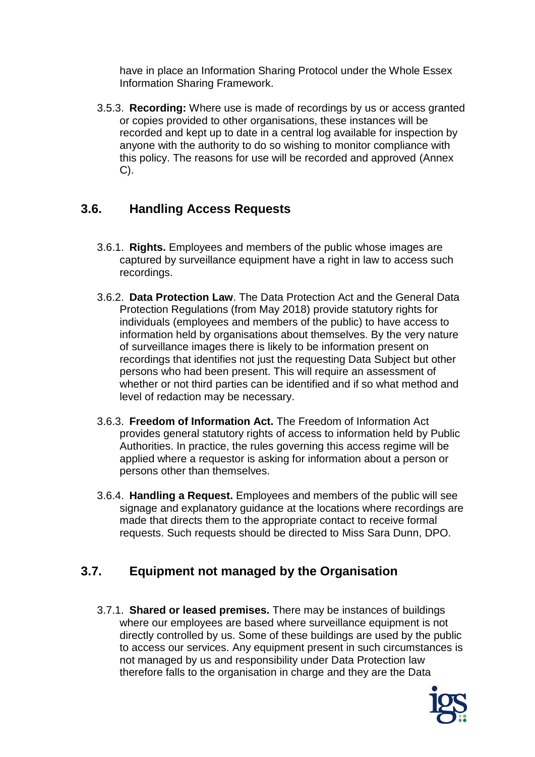have in place an Information Sharing Protocol under the Whole Essex Information Sharing Framework.

3.5.3. **Recording:** Where use is made of recordings by us or access granted or copies provided to other organisations, these instances will be recorded and kept up to date in a central log available for inspection by anyone with the authority to do so wishing to monitor compliance with this policy. The reasons for use will be recorded and approved (Annex C).

# <span id="page-6-0"></span>**3.6. Handling Access Requests**

- 3.6.1. **Rights.** Employees and members of the public whose images are captured by surveillance equipment have a right in law to access such recordings.
- 3.6.2. **Data Protection Law**. The Data Protection Act and the General Data Protection Regulations (from May 2018) provide statutory rights for individuals (employees and members of the public) to have access to information held by organisations about themselves. By the very nature of surveillance images there is likely to be information present on recordings that identifies not just the requesting Data Subject but other persons who had been present. This will require an assessment of whether or not third parties can be identified and if so what method and level of redaction may be necessary.
- 3.6.3. **Freedom of Information Act.** The Freedom of Information Act provides general statutory rights of access to information held by Public Authorities. In practice, the rules governing this access regime will be applied where a requestor is asking for information about a person or persons other than themselves.
- 3.6.4. **Handling a Request.** Employees and members of the public will see signage and explanatory guidance at the locations where recordings are made that directs them to the appropriate contact to receive formal requests. Such requests should be directed to Miss Sara Dunn, DPO.

# <span id="page-6-1"></span>**3.7. Equipment not managed by the Organisation**

3.7.1. **Shared or leased premises.** There may be instances of buildings where our employees are based where surveillance equipment is not directly controlled by us. Some of these buildings are used by the public to access our services. Any equipment present in such circumstances is not managed by us and responsibility under Data Protection law therefore falls to the organisation in charge and they are the Data

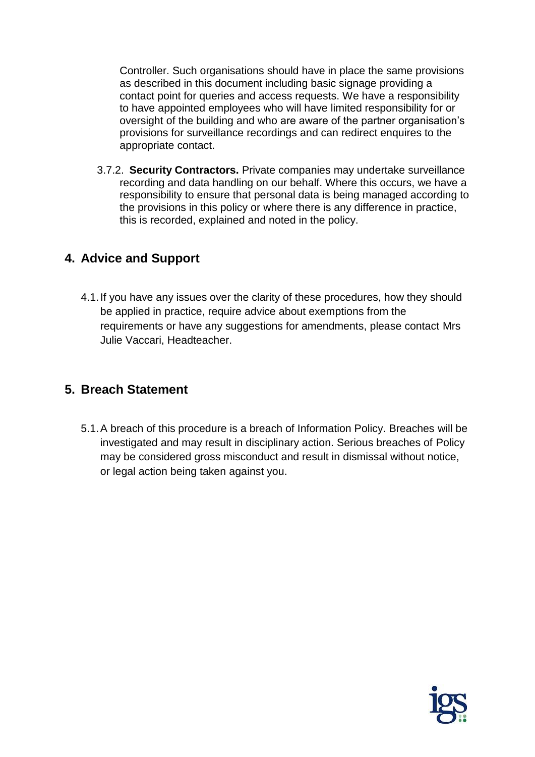Controller. Such organisations should have in place the same provisions as described in this document including basic signage providing a contact point for queries and access requests. We have a responsibility to have appointed employees who will have limited responsibility for or oversight of the building and who are aware of the partner organisation's provisions for surveillance recordings and can redirect enquires to the appropriate contact.

3.7.2. **Security Contractors.** Private companies may undertake surveillance recording and data handling on our behalf. Where this occurs, we have a responsibility to ensure that personal data is being managed according to the provisions in this policy or where there is any difference in practice, this is recorded, explained and noted in the policy.

# <span id="page-7-0"></span>**4. Advice and Support**

4.1.If you have any issues over the clarity of these procedures, how they should be applied in practice, require advice about exemptions from the requirements or have any suggestions for amendments, please contact Mrs Julie Vaccari, Headteacher.

# <span id="page-7-1"></span>**5. Breach Statement**

5.1.A breach of this procedure is a breach of Information Policy. Breaches will be investigated and may result in disciplinary action. Serious breaches of Policy may be considered gross misconduct and result in dismissal without notice, or legal action being taken against you.